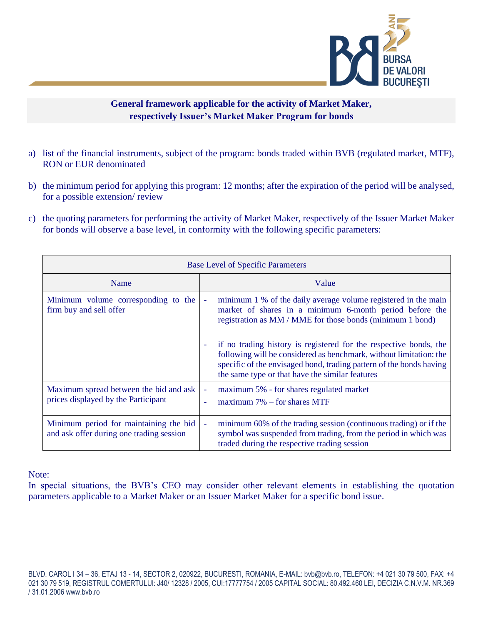

## **General framework applicable for the activity of Market Maker, respectively Issuer's Market Maker Program for bonds**

- a) list of the financial instruments, subject of the program: bonds traded within BVB (regulated market, MTF), RON or EUR denominated
- b) the minimum period for applying this program: 12 months; after the expiration of the period will be analysed, for a possible extension/ review
- c) the quoting parameters for performing the activity of Market Maker, respectively of the Issuer Market Maker for bonds will observe a base level, in conformity with the following specific parameters:

| <b>Base Level of Specific Parameters</b>                                           |                                                                                                                                                                                                                                                                                                                                                               |
|------------------------------------------------------------------------------------|---------------------------------------------------------------------------------------------------------------------------------------------------------------------------------------------------------------------------------------------------------------------------------------------------------------------------------------------------------------|
| Name                                                                               | Value                                                                                                                                                                                                                                                                                                                                                         |
| Minimum volume corresponding to the<br>firm buy and sell offer                     | minimum 1 % of the daily average volume registered in the main<br>$\overline{\phantom{a}}$<br>market of shares in a minimum 6-month period before the<br>registration as MM / MME for those bonds (minimum 1 bond)<br>if no trading history is registered for the respective bonds, the<br>following will be considered as benchmark, without limitation: the |
|                                                                                    | specific of the envisaged bond, trading pattern of the bonds having<br>the same type or that have the similar features                                                                                                                                                                                                                                        |
| Maximum spread between the bid and ask<br>prices displayed by the Participant      | maximum 5% - for shares regulated market<br>$\overline{\phantom{a}}$<br>maximum $7\%$ – for shares MTF                                                                                                                                                                                                                                                        |
| Minimum period for maintaining the bid<br>and ask offer during one trading session | minimum 60% of the trading session (continuous trading) or if the<br>$\overline{\phantom{a}}$<br>symbol was suspended from trading, from the period in which was<br>traded during the respective trading session                                                                                                                                              |

Note:

In special situations, the BVB's CEO may consider other relevant elements in establishing the quotation parameters applicable to a Market Maker or an Issuer Market Maker for a specific bond issue.

BLVD. CAROL I 34 – 36, ETAJ 13 - 14, SECTOR 2, 020922, BUCURESTI, ROMANIA, E-MAIL: bvb@bvb.ro, TELEFON: +4 021 30 79 500, FAX: +4 021 30 79 519, REGISTRUL COMERTULUI: J40/ 12328 / 2005, CUI:17777754 / 2005 CAPITAL SOCIAL: 80.492.460 LEI, DECIZIA C.N.V.M. NR.369 / 31.01.2006 www.bvb.ro